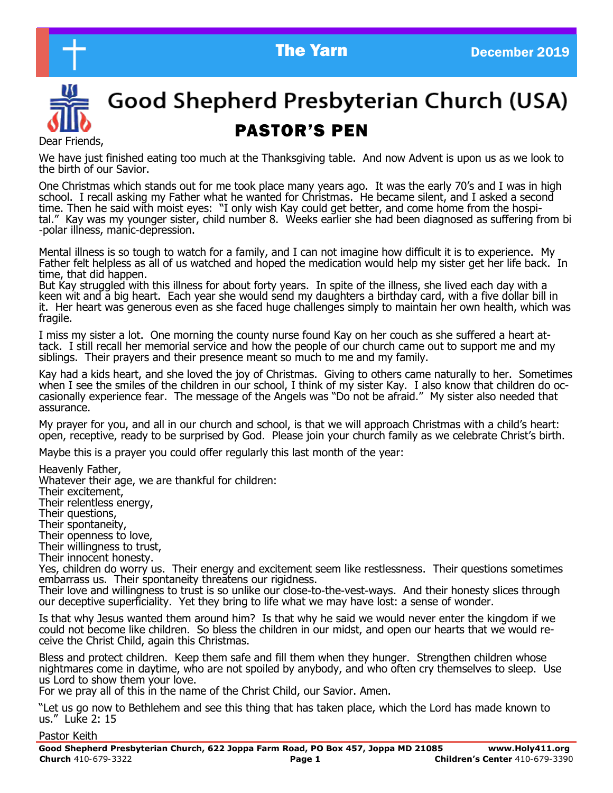



# Good Shepherd Presbyterian Church (USA)

# **PASTOR'S PEN**<br>Dear Friends,

We have just finished eating too much at the Thanksgiving table. And now Advent is upon us as we look to the birth of our Savior.

One Christmas which stands out for me took place many years ago. It was the early 70's and I was in high school. I recall asking my Father what he wanted for Christmas. He became silent, and I asked a second time. Then he said with moist eyes: "I only wish Kay could get better, and come home from the hospital." Kay was my younger sister, child number 8. Weeks earlier she had been diagnosed as suffering from bi -polar illness, manic-depression.

Mental illness is so tough to watch for a family, and I can not imagine how difficult it is to experience. My Father felt helpless as all of us watched and hoped the medication would help my sister get her life back. In time, that did happen.

But Kay struggled with this illness for about forty years. In spite of the illness, she lived each day with a keen wit and a big heart. Each year she would send my daughters a birthday card, with a five dollar bill in it. Her heart was generous even as she faced huge challenges simply to maintain her own health, which was fragile.

I miss my sister a lot. One morning the county nurse found Kay on her couch as she suffered a heart attack. I still recall her memorial service and how the people of our church came out to support me and my siblings. Their prayers and their presence meant so much to me and my family.

Kay had a kids heart, and she loved the joy of Christmas. Giving to others came naturally to her. Sometimes when I see the smiles of the children in our school, I think of my sister Kay. I also know that children do occasionally experience fear. The message of the Angels was "Do not be afraid." My sister also needed that assurance.

My prayer for you, and all in our church and school, is that we will approach Christmas with a child's heart: open, receptive, ready to be surprised by God. Please join your church family as we celebrate Christ's birth.

Maybe this is a prayer you could offer regularly this last month of the year:

Heavenly Father,

Whatever their age, we are thankful for children:

Their excitement,

Their relentless energy,

Their questions,

Their spontaneity,

Their openness to love,

Their willingness to trust, Their innocent honesty.

Yes, children do worry us. Their energy and excitement seem like restlessness. Their questions sometimes embarrass us. Their spontaneity threatens our rigidness.

Their love and willingness to trust is so unlike our close-to-the-vest-ways. And their honesty slices through our deceptive superficiality. Yet they bring to life what we may have lost: a sense of wonder.

Is that why Jesus wanted them around him? Is that why he said we would never enter the kingdom if we could not become like children. So bless the children in our midst, and open our hearts that we would receive the Christ Child, again this Christmas.

Bless and protect children. Keep them safe and fill them when they hunger. Strengthen children whose nightmares come in daytime, who are not spoiled by anybody, and who often cry themselves to sleep. Use us Lord to show them your love.

For we pray all of this in the name of the Christ Child, our Savior. Amen.

"Let us go now to Bethlehem and see this thing that has taken place, which the Lord has made known to us." Luke 2: 15

#### Pastor Keith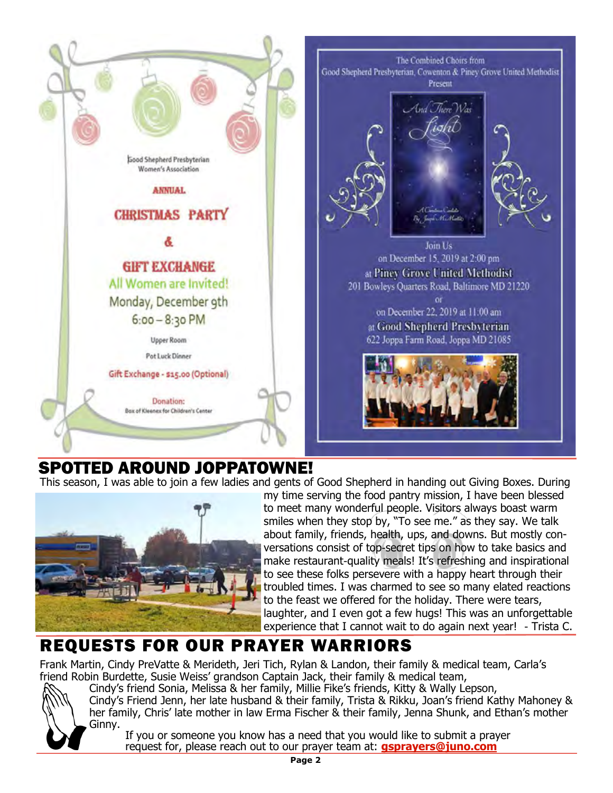

### SPOTTED AROUND JOPPATOWNE!

This season, I was able to join a few ladies and gents of Good Shepherd in handing out Giving Boxes. During



my time serving the food pantry mission, I have been blessed to meet many wonderful people. Visitors always boast warm smiles when they stop by, "To see me." as they say. We talk about family, friends, health, ups, and downs. But mostly conversations consist of top-secret tips on how to take basics and make restaurant-quality meals! It's refreshing and inspirational to see these folks persevere with a happy heart through their troubled times. I was charmed to see so many elated reactions to the feast we offered for the holiday. There were tears, laughter, and I even got a few hugs! This was an unforgettable experience that I cannot wait to do again next year! - Trista C.

## REQUESTS FOR OUR PRAYER WARRIORS

Frank Martin, Cindy PreVatte & Merideth, Jeri Tich, Rylan & Landon, their family & medical team, Carla's friend Robin Burdette, Susie Weiss' grandson Captain Jack, their family & medical team,



Cindy's friend Sonia, Melissa & her family, Millie Fike's friends, Kitty & Wally Lepson, Cindy's Friend Jenn, her late husband & their family, Trista & Rikku, Joan's friend Kathy Mahoney & her family, Chris' late mother in law Erma Fischer & their family, Jenna Shunk, and Ethan's mother Ginny.

If you or someone you know has a need that you would like to submit a prayer request for, please reach out to our prayer team at: **gsprayers@juno.com**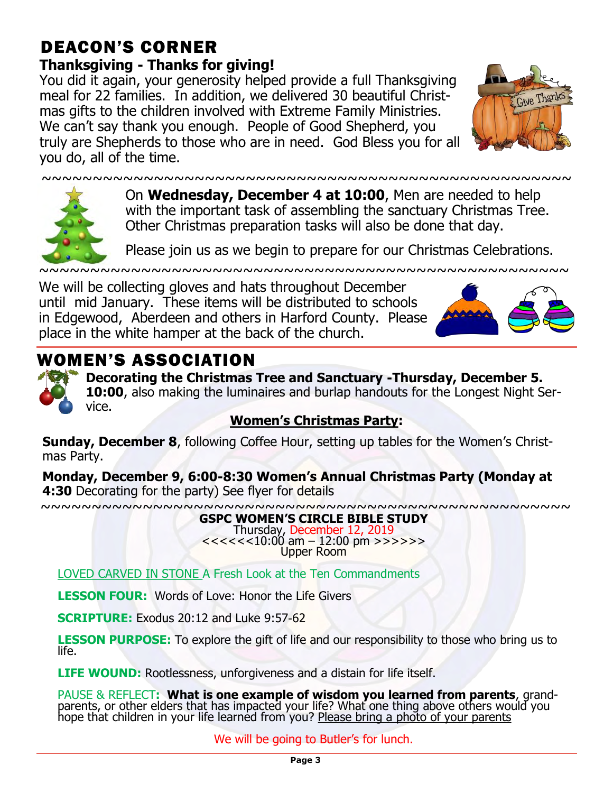### DEACON'S CORNER **Thanksgiving - Thanks for giving!**

You did it again, your generosity helped provide a full Thanksgiving meal for 22 families. In addition, we delivered 30 beautiful Christmas gifts to the children involved with Extreme Family Ministries. We can't say thank you enough. People of Good Shepherd, you truly are Shepherds to those who are in need. God Bless you for all you do, all of the time.





On **Wednesday, December 4 at 10:00**, Men are needed to help with the important task of assembling the sanctuary Christmas Tree. Other Christmas preparation tasks will also be done that day.

 $~\sim$   $~\sim$   $~\sim$   $~\sim$   $~\sim$   $~\sim$   $~\sim$   $~\sim$   $~\sim$   $~\sim$   $~\sim$   $~\sim$   $~\sim$   $~\sim$   $~\sim$   $~\sim$   $~\sim$   $~\sim$   $~\sim$   $~\sim$   $~\sim$   $~\sim$   $~\sim$   $~\sim$   $~\sim$   $~\sim$   $~\sim$   $~\sim$   $~\sim$   $~\sim$   $~\sim$   $~\sim$   $~\sim$   $~\sim$   $~\sim$   $~\sim$   $~\sim$ 

Please join us as we begin to prepare for our Christmas Celebrations.

~~~~~~~~~~~~~~~~~~~~~~~~~~~~~~~~~~

We will be collecting gloves and hats throughout December until mid January. These items will be distributed to schools in Edgewood, Aberdeen and others in Harford County. Please place in the white hamper at the back of the church.



# WOMEN'S ASSOCIATION



**Decorating the Christmas Tree and Sanctuary -Thursday, December 5. 10:00**, also making the luminaires and burlap handouts for the Longest Night Service.

### **Women's Christmas Party:**

**Sunday, December 8**, following Coffee Hour, setting up tables for the Women's Christmas Party.

**Monday, December 9, 6:00-8:30 Women's Annual Christmas Party (Monday at 4:30** Decorating for the party) See flyer for details

~~~~~~~~~~~~~~~~~~~~~~~~~~~~~~~~~~~~~~~~~~~~~~~~~~~~

#### **GSPC WOMEN'S CIRCLE BIBLE STUDY**

Thursday, December 12, 2019 <<<<<<10:00 am – 12:00 pm >>>>>> Upper Room

LOVED CARVED IN STONE A Fresh Look at the Ten Commandments

**LESSON FOUR:** Words of Love: Honor the Life Givers

**SCRIPTURE:** Exodus 20:12 and Luke 9:57-62

**LESSON PURPOSE:** To explore the gift of life and our responsibility to those who bring us to life.

**LIFE WOUND:** Rootlessness, unforgiveness and a distain for life itself.

PAUSE & REFLECT**: What is one example of wisdom you learned from parents**, grandparents, or other elders that has impacted your life? What one thing above others would you hope that children in your life learned from you? Please bring a photo of your parents

We will be going to Butler's for lunch.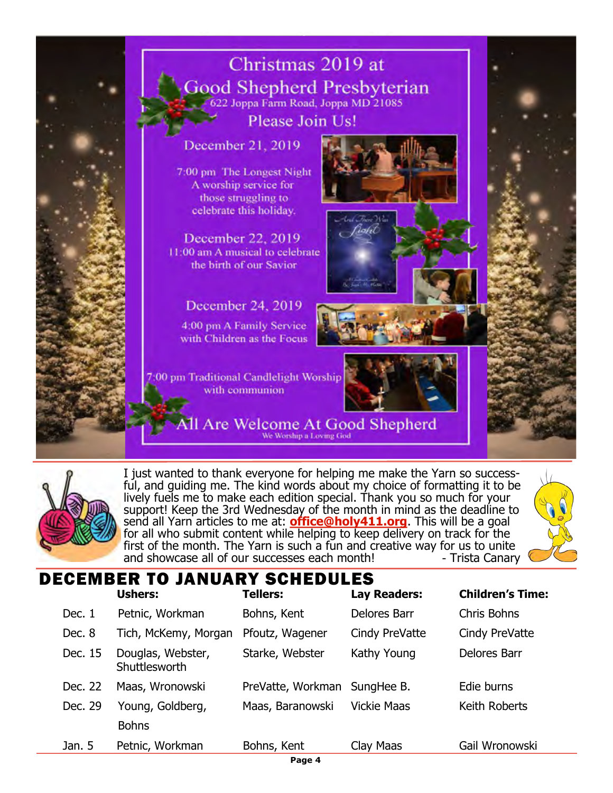



I just wanted to thank everyone for helping me make the Yarn so successful, and guiding me. The kind words about my choice of formatting it to be lively fuels me to make each edition special. Thank you so much for your support! Keep the 3rd Wednesday of the month in mind as the deadline to send all Yarn articles to me at: **office@holy411.org**. This will be a goal for all who submit content while helping to keep delivery on track for the first of the month. The Yarn is such a fun and creative way for us to unite<br>and showcase all of our successes each month! Trista Canary and showcase all of our successes each month!



### DECEMBER TO JANUARY SCHEDULES

|         | <b>Ushers:</b>                     | <b>Tellers:</b>   | Lay Readers:       | <b>Children's Time:</b> |
|---------|------------------------------------|-------------------|--------------------|-------------------------|
| Dec. 1  | Petnic, Workman                    | Bohns, Kent       | Delores Barr       | Chris Bohns             |
| Dec. 8  | Tich, McKemy, Morgan               | Pfoutz, Wagener   | Cindy PreVatte     | Cindy PreVatte          |
| Dec. 15 | Douglas, Webster,<br>Shuttlesworth | Starke, Webster   | Kathy Young        | Delores Barr            |
| Dec. 22 | Maas, Wronowski                    | PreVatte, Workman | SungHee B.         | Edie burns              |
| Dec. 29 | Young, Goldberg,                   | Maas, Baranowski  | <b>Vickie Maas</b> | Keith Roberts           |
|         | <b>Bohns</b>                       |                   |                    |                         |
| Jan. 5  | Petnic, Workman                    | Bohns, Kent       | Clay Maas          | Gail Wronowski          |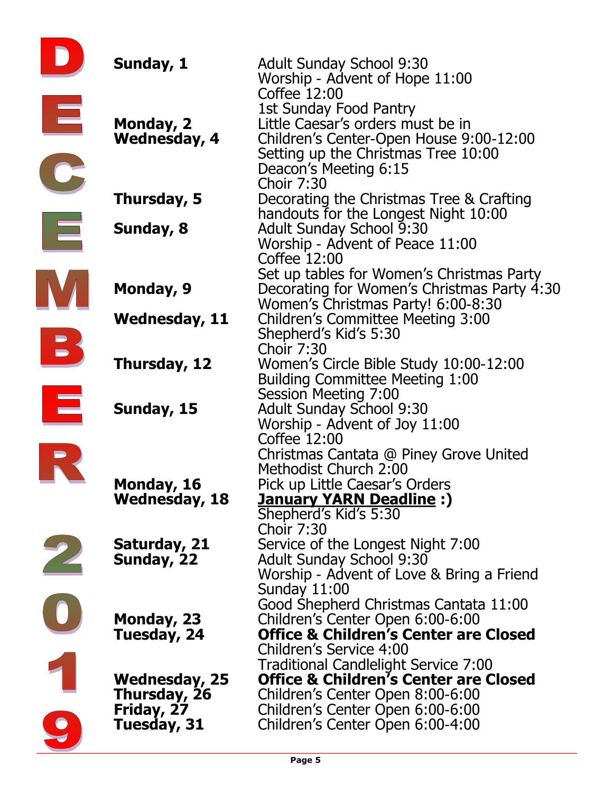|   | Sunday, 1            | <b>Adult Sunday School 9:30</b>                                                          |
|---|----------------------|------------------------------------------------------------------------------------------|
|   |                      | Worship - Advent of Hope 11:00                                                           |
|   |                      | Coffee 12:00                                                                             |
| Ξ |                      | 1st Sunday Food Pantry                                                                   |
|   | Monday, 2            | Little Caesar's orders must be in                                                        |
|   | <b>Wednesday, 4</b>  | Children's Center-Open House 9:00-12:00                                                  |
|   |                      | Setting up the Christmas Tree 10:00                                                      |
|   |                      | Deacon's Meeting 6:15                                                                    |
|   |                      | <b>Choir 7:30</b>                                                                        |
|   | Thursday, 5          | Decorating the Christmas Tree & Crafting                                                 |
|   |                      | handouts for the Longest Night 10:00                                                     |
| E | Sunday, 8            | <b>Adult Sunday School 9:30</b>                                                          |
|   |                      | Worship - Advent of Peace 11:00                                                          |
|   |                      | Coffee 12:00                                                                             |
|   | Monday, 9            | Set up tables for Women's Christmas Party<br>Decorating for Women's Christmas Party 4:30 |
|   |                      | Women's Christmas Party! 6:00-8:30                                                       |
|   | <b>Wednesday, 11</b> | <b>Children's Committee Meeting 3:00</b>                                                 |
|   |                      | Shepherd's Kid's 5:30                                                                    |
|   |                      | <b>Choir 7:30</b>                                                                        |
|   | Thursday, 12         | Women's Circle Bible Study 10:00-12:00                                                   |
|   |                      | <b>Building Committee Meeting 1:00</b>                                                   |
| E |                      | Session Meeting 7:00                                                                     |
|   | Sunday, 15           | <b>Adult Sunday School 9:30</b>                                                          |
|   |                      | Worship - Advent of Joy 11:00                                                            |
|   |                      | Coffee 12:00                                                                             |
|   |                      | Christmas Cantata @ Piney Grove United                                                   |
|   |                      | Methodist Church 2:00                                                                    |
|   | Monday, 16           | Pick up Little Caesar's Orders                                                           |
|   | <b>Wednesday, 18</b> | <b>January YARN Deadline:)</b>                                                           |
|   |                      | Shepherd's Kid's 5:30                                                                    |
|   |                      | <b>Choir 7:30</b>                                                                        |
|   | Saturday, 21         | Service of the Longest Night 7:00                                                        |
|   | Sunday, 22           | <b>Adult Sunday School 9:30</b>                                                          |
|   |                      | Worship - Advent of Love & Bring a Friend                                                |
|   |                      | Sunday 11:00<br>Good Shepherd Christmas Cantata 11:00                                    |
|   | Monday, 23           | Children's Center Open 6:00-6:00                                                         |
|   | Tuesday, 24          | <b>Office &amp; Children's Center are Closed</b>                                         |
|   |                      | Children's Service 4:00                                                                  |
|   |                      | Traditional Candlelight Service 7:00                                                     |
|   | Wednesday, 25        | <b>Office &amp; Children's Center are Closed</b>                                         |
|   | Thursday, 26         | Children's Center Open 8:00-6:00                                                         |
|   | Friday, 27           | Children's Center Open 6:00-6:00                                                         |
|   | Tuesday, 31          | Children's Center Open 6:00-4:00                                                         |
|   |                      |                                                                                          |
|   |                      |                                                                                          |